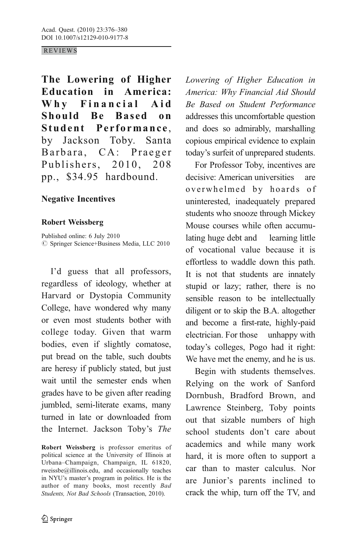## REVIEWS

The Lowering of Higher Education in America: Why Financial Aid Should Be Based on Student Performance , by Jackson Toby. Santa Barbara, CA: Praeger Publishers, 2010, 208 pp., \$34.95 hardbound.

## Negative Incentives

## Robert Weissberg

Published online: 6 July 2010  $\oslash$  Springer Science+Business Media, LLC 2010

I'd guess that all professors, regardless of ideology, whether at Harvard or Dystopia Community College, have wondered why many or even most students bother with college today. Given that warm bodies, even if slightly comatose, put bread on the table, such doubts are heresy if publicly stated, but just wait until the semester ends when grades have to be given after reading jumbled, semi-literate exams, many turned in late or downloaded from the Internet. Jackson Toby's The

Robert Weissberg is professor emeritus of political science at the University of Illinois at Urbana–Champaign, Champaign, IL 61820, [rweissbe@illinois.edu](http://rweissbe@illinois.edu), and occasionally teaches in NYU's master's program in politics. He is the author of many books, most recently Bad Students, Not Bad Schools (Transaction, 2010).

Lowering of Higher Education in America: Why Financial Aid Should Be Based on Student Performance addresses this uncomfortable question and does so admirably, marshalling copious empirical evidence to explain today's surfeit of unprepared students.

For Professor Toby, incentives are decisive: American universities are overwhelmed by hoards of uninterested, inadequately prepared students who snooze through Mickey Mouse courses while often accumulating huge debt and learning little of vocational value because it is effortless to waddle down this path. It is not that students are innately stupid or lazy; rather, there is no sensible reason to be intellectually diligent or to skip the B.A. altogether and become a first-rate, highly-paid electrician. For those unhappy with today's colleges, Pogo had it right: We have met the enemy, and he is us.

Begin with students themselves. Relying on the work of Sanford Dornbush, Bradford Brown, and Lawrence Steinberg, Toby points out that sizable numbers of high school students don't care about academics and while many work hard, it is more often to support a car than to master calculus. Nor are Junior's parents inclined to crack the whip, turn off the TV, and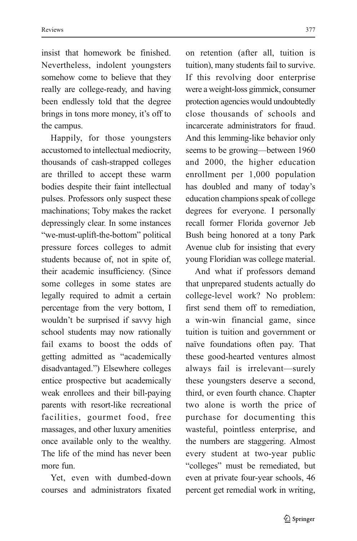insist that homework be finished. Nevertheless, indolent youngsters somehow come to believe that they really are college-ready, and having been endlessly told that the degree brings in tons more money, it's off to the campus.

Happily, for those youngsters accustomed to intellectual mediocrity, thousands of cash-strapped colleges are thrilled to accept these warm bodies despite their faint intellectual pulses. Professors only suspect these machinations; Toby makes the racket depressingly clear. In some instances "we-must-uplift-the-bottom" political pressure forces colleges to admit students because of, not in spite of, their academic insufficiency. (Since some colleges in some states are legally required to admit a certain percentage from the very bottom, I wouldn't be surprised if savvy high school students may now rationally fail exams to boost the odds of getting admitted as "academically disadvantaged.") Elsewhere colleges entice prospective but academically weak enrollees and their bill-paying parents with resort-like recreational facilities, gourmet food, free massages, and other luxury amenities once available only to the wealthy. The life of the mind has never been more fun.

Yet, even with dumbed-down courses and administrators fixated on retention (after all, tuition is tuition), many students fail to survive. If this revolving door enterprise were a weight-loss gimmick, consumer protection agencies would undoubtedly close thousands of schools and incarcerate administrators for fraud. And this lemming-like behavior only seems to be growing—between 1960 and 2000, the higher education enrollment per 1,000 population has doubled and many of today's education champions speak of college degrees for everyone. I personally recall former Florida governor Jeb Bush being honored at a tony Park Avenue club for insisting that every young Floridian was college material.

And what if professors demand that unprepared students actually do college-level work? No problem: first send them off to remediation, a win-win financial game, since tuition is tuition and government or naïve foundations often pay. That these good-hearted ventures almost always fail is irrelevant—surely these youngsters deserve a second, third, or even fourth chance. Chapter two alone is worth the price of purchase for documenting this wasteful, pointless enterprise, and the numbers are staggering. Almost every student at two-year public "colleges" must be remediated, but even at private four-year schools, 46 percent get remedial work in writing,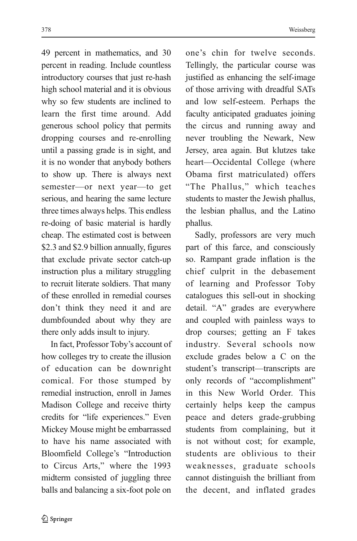49 percent in mathematics, and 30 percent in reading. Include countless introductory courses that just re-hash high school material and it is obvious why so few students are inclined to learn the first time around. Add generous school policy that permits dropping courses and re-enrolling until a passing grade is in sight, and it is no wonder that anybody bothers to show up. There is always next semester—or next year—to get serious, and hearing the same lecture three times always helps. This endless re-doing of basic material is hardly cheap. The estimated cost is between \$2.3 and \$2.9 billion annually, figures that exclude private sector catch-up instruction plus a military struggling to recruit literate soldiers. That many of these enrolled in remedial courses don't think they need it and are dumbfounded about why they are there only adds insult to injury.

In fact, Professor Toby's account of how colleges try to create the illusion of education can be downright comical. For those stumped by remedial instruction, enroll in James Madison College and receive thirty credits for "life experiences." Even Mickey Mouse might be embarrassed to have his name associated with Bloomfield College's "Introduction to Circus Arts," where the 1993 midterm consisted of juggling three balls and balancing a six-foot pole on

one's chin for twelve seconds. Tellingly, the particular course was justified as enhancing the self-image of those arriving with dreadful SATs and low self-esteem. Perhaps the faculty anticipated graduates joining the circus and running away and never troubling the Newark, New Jersey, area again. But klutzes take heart—Occidental College (where Obama first matriculated) offers "The Phallus," which teaches students to master the Jewish phallus, the lesbian phallus, and the Latino phallus.

Sadly, professors are very much part of this farce, and consciously so. Rampant grade inflation is the chief culprit in the debasement of learning and Professor Toby catalogues this sell-out in shocking detail. "A" grades are everywhere and coupled with painless ways to drop courses; getting an F takes industry. Several schools now exclude grades below a C on the student's transcript—transcripts are only records of "accomplishment" in this New World Order. This certainly helps keep the campus peace and deters grade-grubbing students from complaining, but it is not without cost; for example, students are oblivious to their weaknesses, graduate schools cannot distinguish the brilliant from the decent, and inflated grades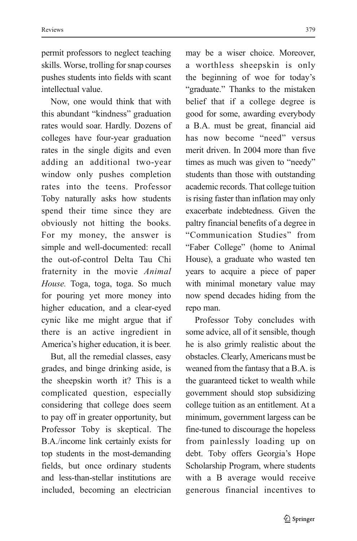permit professors to neglect teaching skills. Worse, trolling for snap courses pushes students into fields with scant intellectual value.

Now, one would think that with this abundant "kindness" graduation rates would soar. Hardly. Dozens of colleges have four-year graduation rates in the single digits and even adding an additional two-year window only pushes completion rates into the teens. Professor Toby naturally asks how students spend their time since they are obviously not hitting the books. For my money, the answer is simple and well-documented: recall the out-of-control Delta Tau Chi fraternity in the movie Animal House. Toga, toga, toga. So much for pouring yet more money into higher education, and a clear-eyed cynic like me might argue that if there is an active ingredient in America's higher education, it is beer.

But, all the remedial classes, easy grades, and binge drinking aside, is the sheepskin worth it? This is a complicated question, especially considering that college does seem to pay off in greater opportunity, but Professor Toby is skeptical. The B.A./income link certainly exists for top students in the most-demanding fields, but once ordinary students and less-than-stellar institutions are included, becoming an electrician

may be a wiser choice. Moreover, a worthless sheepskin is only the beginning of woe for today's "graduate." Thanks to the mistaken belief that if a college degree is good for some, awarding everybody a B.A. must be great, financial aid has now become "need" versus merit driven. In 2004 more than five times as much was given to "needy" students than those with outstanding academic records. That college tuition is rising faster than inflation may only exacerbate indebtedness. Given the paltry financial benefits of a degree in "Communication Studies" from "Faber College" (home to Animal House), a graduate who wasted ten years to acquire a piece of paper with minimal monetary value may now spend decades hiding from the repo man.

Professor Toby concludes with some advice, all of it sensible, though he is also grimly realistic about the obstacles. Clearly, Americans must be weaned from the fantasy that a B.A. is the guaranteed ticket to wealth while government should stop subsidizing college tuition as an entitlement. At a minimum, government largess can be fine-tuned to discourage the hopeless from painlessly loading up on debt. Toby offers Georgia's Hope Scholarship Program, where students with a B average would receive generous financial incentives to